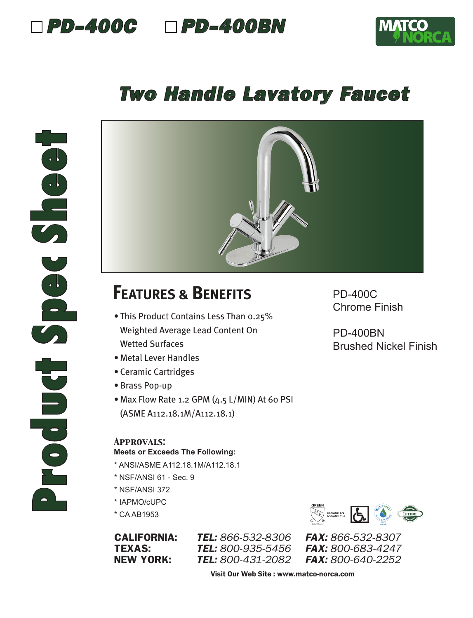



### *Two Handle Lavatory Faucet*



## **FEATURES & BENEFITS**

- This Product Contains Less Than 0.25% Weighted Average Lead Content On Wetted Surfaces
- Metal Lever Handles
- Ceramic Cartridges
- Brass Pop-up
- Max Flow Rate 1.2 GPM (4.5 L/MIN) At 60 PSI (ASME A112.18.1M/A112.18.1)

#### *Approvals:*

#### **Meets or Exceeds The Following:**

- \* ANSI/ASME A112.18.1M/A112.18.1
- \* NSF/ANSI 61 Sec. 9
- \* NSF/ANSI 372
- \* IAPMO/cUPC
- \* CA AB1953

CALIFORNIA: *TEL: 866-532-8306 FAX: 866-532-8307* TEXAS: *TEL: 800-935-5456 FAX: 800-683-4247* NEW YORK: *TEL: 800-431-2082 FAX: 800-640-2252*

Chrome Finish

PD-400C

PD-400BN Brushed Nickel Finish



Visit Our Web Site : www.matco-norca.com